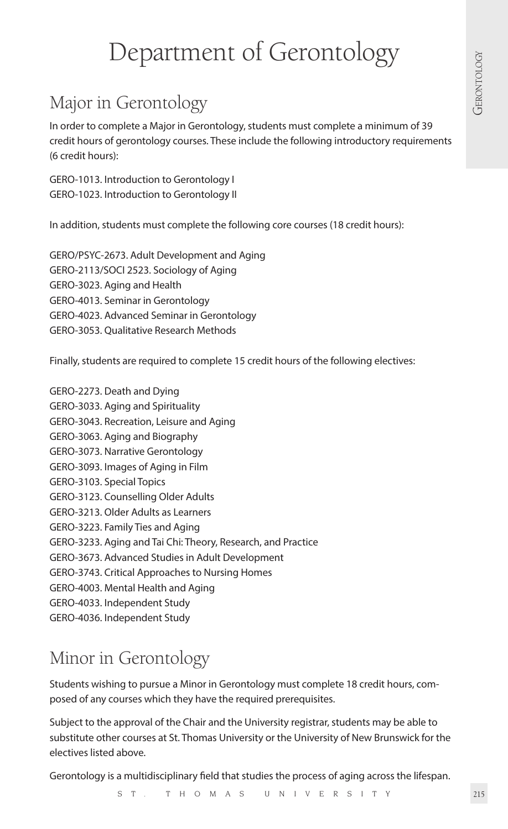# Department of Gerontology<br>a Gerontology

# Major in Gerontology

In order to complete a Major in Gerontology, students must complete a minimum of 39 credit hours of gerontology courses. These include the following introductory requirements (6 credit hours):

GERO-1013. Introduction to Gerontology I GERO-1023. Introduction to Gerontology II

In addition, students must complete the following core courses (18 credit hours):

GERO/PSYC-2673. Adult Development and Aging GERO-2113/SOCI 2523. Sociology of Aging GERO-3023. Aging and Health GERO-4013. Seminar in Gerontology GERO-4023. Advanced Seminar in Gerontology GERO-3053. Qualitative Research Methods

Finally, students are required to complete 15 credit hours of the following electives:

GERO-2273. Death and Dying GERO-3033. Aging and Spirituality GERO-3043. Recreation, Leisure and Aging GERO-3063. Aging and Biography GERO-3073. Narrative Gerontology GERO-3093. Images of Aging in Film GERO-3103. Special Topics GERO-3123. Counselling Older Adults GERO-3213. Older Adults as Learners GERO-3223. Family Ties and Aging GERO-3233. Aging and Tai Chi: Theory, Research, and Practice GERO-3673. Advanced Studies in Adult Development GERO-3743. Critical Approaches to Nursing Homes GERO-4003. Mental Health and Aging GERO-4033. Independent Study GERO-4036. Independent Study

## Minor in Gerontology

Students wishing to pursue a Minor in Gerontology must complete 18 credit hours, composed of any courses which they have the required prerequisites.

Subject to the approval of the Chair and the University registrar, students may be able to substitute other courses at St. Thomas University or the University of New Brunswick for the electives listed above.

Gerontology is a multidisciplinary field that studies the process of aging across the lifespan.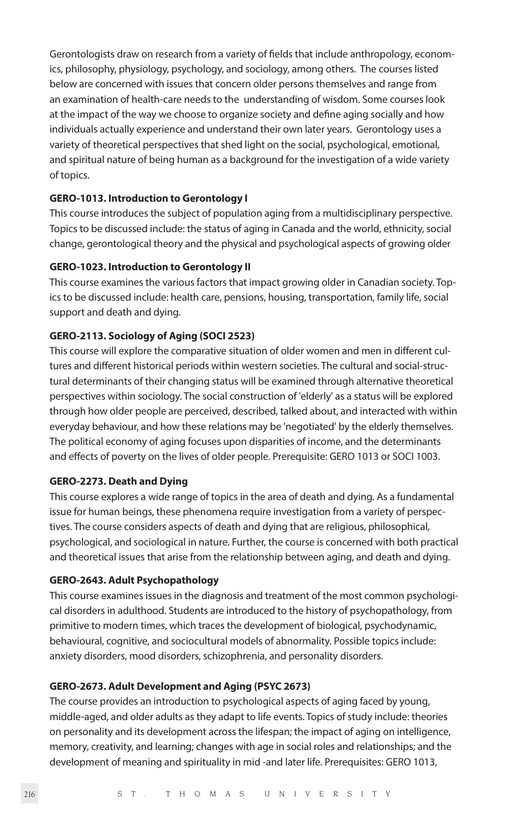Gerontologists draw on research from a variety of fields that include anthropology, economics, philosophy, physiology, psychology, and sociology, among others. The courses listed below are concerned with issues that concern older persons themselves and range from an examination of health-care needs to the understanding of wisdom. Some courses look at the impact of the way we choose to organize society and define aging socially and how individuals actually experience and understand their own later years. Gerontology uses a variety of theoretical perspectives that shed light on the social, psychological, emotional, and spiritual nature of being human as a background for the investigation of a wide variety of topics.

#### **GERO-1013. Introduction to Gerontology I**

This course introduces the subject of population aging from a multidisciplinary perspective. Topics to be discussed include: the status of aging in Canada and the world, ethnicity, social change, gerontological theory and the physical and psychological aspects of growing older

#### **GERO-1023. Introduction to Gerontology II**

This course examines the various factors that impact growing older in Canadian society. Topics to be discussed include: health care, pensions, housing, transportation, family life, social support and death and dying.

### **GERO-2113. Sociology of Aging (SOCI 2523)**

This course will explore the comparative situation of older women and men in different cultures and different historical periods within western societies. The cultural and social-structural determinants of their changing status will be examined through alternative theoretical perspectives within sociology. The social construction of 'elderly' as a status will be explored through how older people are perceived, described, talked about, and interacted with within everyday behaviour, and how these relations may be 'negotiated' by the elderly themselves. The political economy of aging focuses upon disparities of income, and the determinants and effects of poverty on the lives of older people. Prerequisite: GERO 1013 or SOCI 1003.

#### **GERO-2273. Death and Dying**

This course explores a wide range of topics in the area of death and dying. As a fundamental issue for human beings, these phenomena require investigation from a variety of perspectives. The course considers aspects of death and dying that are religious, philosophical, psychological, and sociological in nature. Further, the course is concerned with both practical and theoretical issues that arise from the relationship between aging, and death and dying.

#### **GERO-2643. Adult Psychopathology**

This course examines issues in the diagnosis and treatment of the most common psychological disorders in adulthood. Students are introduced to the history of psychopathology, from primitive to modern times, which traces the development of biological, psychodynamic, behavioural, cognitive, and sociocultural models of abnormality. Possible topics include: anxiety disorders, mood disorders, schizophrenia, and personality disorders.

#### **GERO-2673. Adult Development and Aging (PSYC 2673)**

The course provides an introduction to psychological aspects of aging faced by young, middle-aged, and older adults as they adapt to life events. Topics of study include: theories on personality and its development across the lifespan; the impact of aging on intelligence, memory, creativity, and learning; changes with age in social roles and relationships; and the development of meaning and spirituality in mid -and later life. Prerequisites: GERO 1013,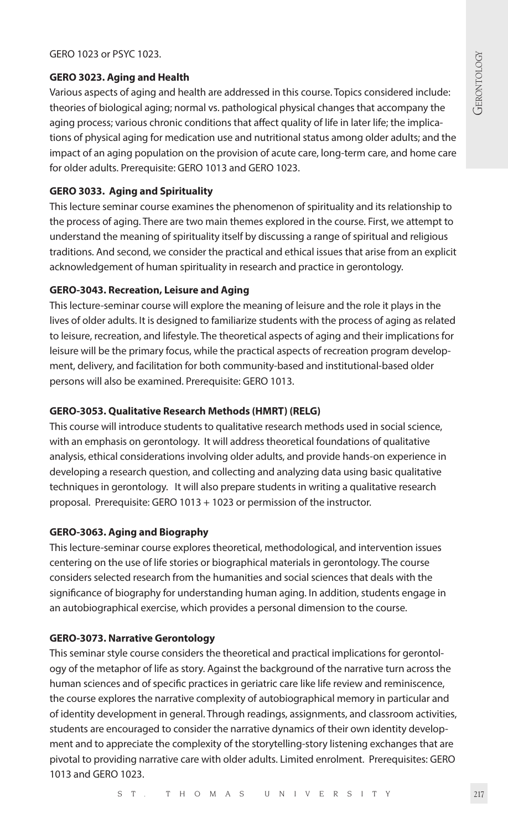#### **GERO 3023. Aging and Health**

GERO 1023 or PSYC 1023.<br> **GERO 3023. Aging and Health**<br>
Various aspects of aging and health are addressed in this course. Topics considered include:<br>
theories of biological aging; normal vs. pathological physical changes t Various aspects of aging and health are addressed in this course. Topics considered include: theories of biological aging; normal vs. pathological physical changes that accompany the aging process; various chronic conditions that affect quality of life in later life; the implications of physical aging for medication use and nutritional status among older adults; and the impact of an aging population on the provision of acute care, long-term care, and home care for older adults. Prerequisite: GERO 1013 and GERO 1023.

#### **GERO 3033. Aging and Spirituality**

This lecture seminar course examines the phenomenon of spirituality and its relationship to the process of aging. There are two main themes explored in the course. First, we attempt to understand the meaning of spirituality itself by discussing a range of spiritual and religious traditions. And second, we consider the practical and ethical issues that arise from an explicit acknowledgement of human spirituality in research and practice in gerontology.

#### **GERO-3043. Recreation, Leisure and Aging**

This lecture-seminar course will explore the meaning of leisure and the role it plays in the lives of older adults. It is designed to familiarize students with the process of aging as related to leisure, recreation, and lifestyle. The theoretical aspects of aging and their implications for leisure will be the primary focus, while the practical aspects of recreation program development, delivery, and facilitation for both community-based and institutional-based older persons will also be examined. Prerequisite: GERO 1013.

#### **GERO-3053. Qualitative Research Methods (HMRT) (RELG)**

This course will introduce students to qualitative research methods used in social science, with an emphasis on gerontology. It will address theoretical foundations of qualitative analysis, ethical considerations involving older adults, and provide hands-on experience in developing a research question, and collecting and analyzing data using basic qualitative techniques in gerontology. It will also prepare students in writing a qualitative research proposal. Prerequisite: GERO 1013 + 1023 or permission of the instructor.

#### **GERO-3063. Aging and Biography**

This lecture-seminar course explores theoretical, methodological, and intervention issues centering on the use of life stories or biographical materials in gerontology. The course considers selected research from the humanities and social sciences that deals with the significance of biography for understanding human aging. In addition, students engage in an autobiographical exercise, which provides a personal dimension to the course.

#### **GERO-3073. Narrative Gerontology**

This seminar style course considers the theoretical and practical implications for gerontology of the metaphor of life as story. Against the background of the narrative turn across the human sciences and of specific practices in geriatric care like life review and reminiscence, the course explores the narrative complexity of autobiographical memory in particular and of identity development in general. Through readings, assignments, and classroom activities, students are encouraged to consider the narrative dynamics of their own identity development and to appreciate the complexity of the storytelling-story listening exchanges that are pivotal to providing narrative care with older adults. Limited enrolment. Prerequisites: GERO 1013 and GERO 1023.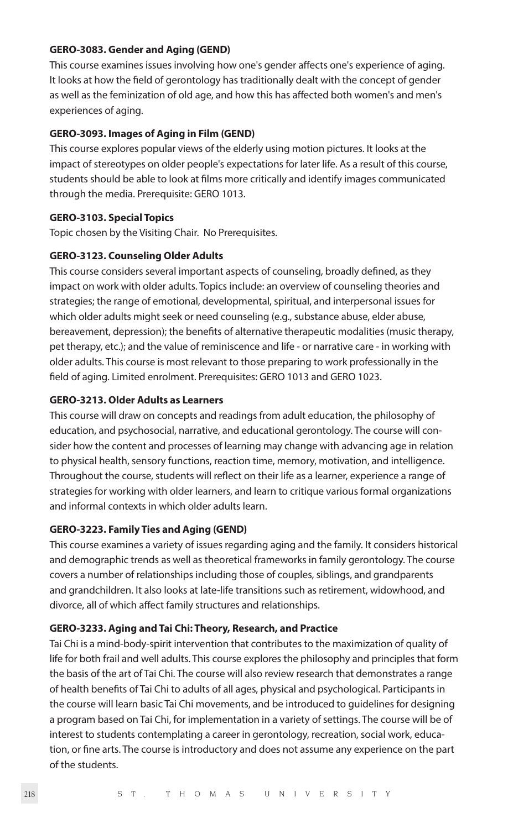#### **GERO-3083. Gender and Aging (GEND)**

This course examines issues involving how one's gender affects one's experience of aging. It looks at how the field of gerontology has traditionally dealt with the concept of gender as well as the feminization of old age, and how this has affected both women's and men's experiences of aging.

#### **GERO-3093. Images of Aging in Film (GEND)**

This course explores popular views of the elderly using motion pictures. It looks at the impact of stereotypes on older people's expectations for later life. As a result of this course, students should be able to look at films more critically and identify images communicated through the media. Prerequisite: GERO 1013.

#### **GERO-3103. Special Topics**

Topic chosen by the Visiting Chair. No Prerequisites.

#### **GERO-3123. Counseling Older Adults**

This course considers several important aspects of counseling, broadly defined, as they impact on work with older adults. Topics include: an overview of counseling theories and strategies; the range of emotional, developmental, spiritual, and interpersonal issues for which older adults might seek or need counseling (e.g., substance abuse, elder abuse, bereavement, depression); the benefits of alternative therapeutic modalities (music therapy, pet therapy, etc.); and the value of reminiscence and life - or narrative care - in working with older adults. This course is most relevant to those preparing to work professionally in the field of aging. Limited enrolment. Prerequisites: GERO 1013 and GERO 1023.

### **GERO-3213. Older Adults as Learners**

This course will draw on concepts and readings from adult education, the philosophy of education, and psychosocial, narrative, and educational gerontology. The course will consider how the content and processes of learning may change with advancing age in relation to physical health, sensory functions, reaction time, memory, motivation, and intelligence. Throughout the course, students will reflect on their life as a learner, experience a range of strategies for working with older learners, and learn to critique various formal organizations and informal contexts in which older adults learn.

#### **GERO-3223. Family Ties and Aging (GEND)**

This course examines a variety of issues regarding aging and the family. It considers historical and demographic trends as well as theoretical frameworks in family gerontology. The course covers a number of relationships including those of couples, siblings, and grandparents and grandchildren. It also looks at late-life transitions such as retirement, widowhood, and divorce, all of which affect family structures and relationships.

#### **GERO-3233. Aging and Tai Chi: Theory, Research, and Practice**

Tai Chi is a mind-body-spirit intervention that contributes to the maximization of quality of life for both frail and well adults. This course explores the philosophy and principles that form the basis of the art of Tai Chi. The course will also review research that demonstrates a range of health benefits of Tai Chi to adults of all ages, physical and psychological. Participants in the course will learn basic Tai Chi movements, and be introduced to guidelines for designing a program based on Tai Chi, for implementation in a variety of settings. The course will be of interest to students contemplating a career in gerontology, recreation, social work, education, or fine arts. The course is introductory and does not assume any experience on the part of the students.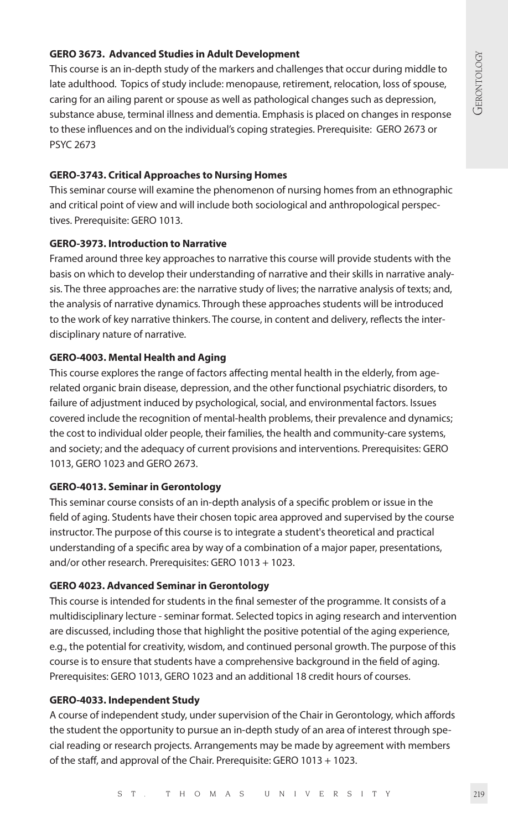**GERO 3673. Advanced Studies in Adult Development**<br>
This course is an in-depth study of the markers and challenges that occur during middle to<br>
late adulthood. Topics of study include: menopause, retirement, relocation, l This course is an in-depth study of the markers and challenges that occur during middle to late adulthood. Topics of study include: menopause, retirement, relocation, loss of spouse, caring for an ailing parent or spouse as well as pathological changes such as depression, substance abuse, terminal illness and dementia. Emphasis is placed on changes in response to these influences and on the individual's coping strategies. Prerequisite: GERO 2673 or PSYC 2673

#### **GERO-3743. Critical Approaches to Nursing Homes**

This seminar course will examine the phenomenon of nursing homes from an ethnographic and critical point of view and will include both sociological and anthropological perspectives. Prerequisite: GERO 1013.

### **GERO-3973. Introduction to Narrative**

Framed around three key approaches to narrative this course will provide students with the basis on which to develop their understanding of narrative and their skills in narrative analysis. The three approaches are: the narrative study of lives; the narrative analysis of texts; and, the analysis of narrative dynamics. Through these approaches students will be introduced to the work of key narrative thinkers. The course, in content and delivery, reflects the interdisciplinary nature of narrative.

### **GERO-4003. Mental Health and Aging**

This course explores the range of factors affecting mental health in the elderly, from agerelated organic brain disease, depression, and the other functional psychiatric disorders, to failure of adjustment induced by psychological, social, and environmental factors. Issues covered include the recognition of mental-health problems, their prevalence and dynamics; the cost to individual older people, their families, the health and community-care systems, and society; and the adequacy of current provisions and interventions. Prerequisites: GERO 1013, GERO 1023 and GERO 2673.

#### **GERO-4013. Seminar in Gerontology**

This seminar course consists of an in-depth analysis of a specific problem or issue in the field of aging. Students have their chosen topic area approved and supervised by the course instructor. The purpose of this course is to integrate a student's theoretical and practical understanding of a specific area by way of a combination of a major paper, presentations, and/or other research. Prerequisites: GERO 1013 + 1023.

## **GERO 4023. Advanced Seminar in Gerontology**

This course is intended for students in the final semester of the programme. It consists of a multidisciplinary lecture - seminar format. Selected topics in aging research and intervention are discussed, including those that highlight the positive potential of the aging experience, e.g., the potential for creativity, wisdom, and continued personal growth. The purpose of this course is to ensure that students have a comprehensive background in the field of aging. Prerequisites: GERO 1013, GERO 1023 and an additional 18 credit hours of courses.

#### **GERO-4033. Independent Study**

A course of independent study, under supervision of the Chair in Gerontology, which affords the student the opportunity to pursue an in-depth study of an area of interest through special reading or research projects. Arrangements may be made by agreement with members of the staff, and approval of the Chair. Prerequisite: GERO 1013 + 1023.